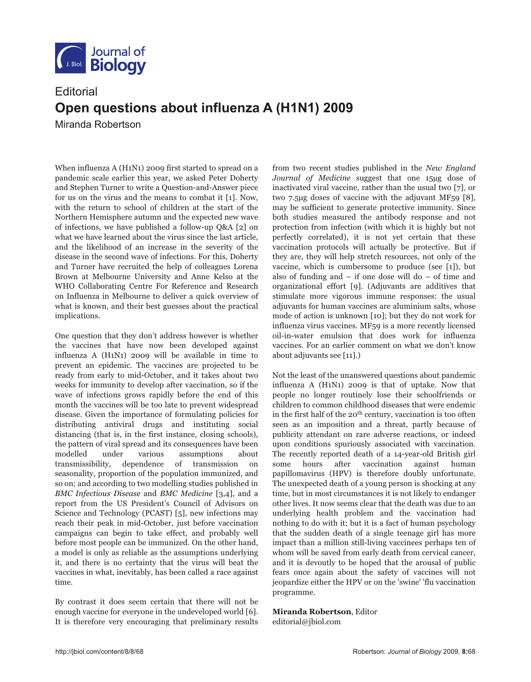

## **Editorial Open questions about influenza A (H1N1) 2009**

Miranda Robertson

When influenza A (H1N1) 2009 first started to spread on a pandemic scale earlier this year, we asked Peter Doherty and Stephen Turner to write a Question-and-Answer piece for us on the virus and the means to combat it [1]. Now, with the return to school of children at the start of the Northern Hemisphere autumn and the expected new wave of infections, we have published a follow-up Q&A [2] on what we have learned about the virus since the last article, and the likelihood of an increase in the severity of the disease in the second wave of infections. For this, Doherty and Turner have recruited the help of colleagues Lorena Brown at Melbourne University and Anne Kelso at the WHO Collaborating Centre For Reference and Research on Influenza in Melbourne to deliver a quick overview of what is known, and their best guesses about the practical implications.

One question that they don't address however is whether the vaccines that have now been developed against influenza A (H1N1) 2009 will be available in time to prevent an epidemic. The vaccines are projected to be ready from early to mid-October, and it takes about two weeks for immunity to develop after vaccination, so if the wave of infections grows rapidly before the end of this month the vaccines will be too late to prevent widespread disease. Given the importance of formulating policies for distributing antiviral drugs and instituting social distancing (that is, in the first instance, closing schools), the pattern of viral spread and its consequences have been modelled under various assumptions about transmissibility, dependence of transmission on seasonality, proportion of the population immunized, and so on; and according to two modelling studies published in *BMC Infectious Disease* and *BMC Medicine* [3,4], and a report from the US President's Council of Advisors on Science and Technology (PCAST) [5], new infections may reach their peak in mid-October, just before vaccination campaigns can begin to take effect, and probably well before most people can be immunized. On the other hand, a model is only as reliable as the assumptions underlying it, and there is no certainty that the virus will beat the vaccines in what, inevitably, has been called a race against time.

By contrast it does seem certain that there will not be enough vaccine for everyone in the undeveloped world [6]. It is therefore very encouraging that preliminary results from two recent studies published in the *New England Journal of Medicine* suggest that one 15µg dose of inactivated viral vaccine, rather than the usual two [7], or two 7.5µg doses of vaccine with the adjuvant MF59 [8], may be sufficient to generate protective immunity. Since both studies measured the antibody response and not protection from infection (with which it is highly but not perfectly correlated), it is not yet certain that these vaccination protocols will actually be protective. But if they are, they will help stretch resources, not only of the vaccine, which is cumbersome to produce (see [1]), but also of funding and  $-$  if one dose will do  $-$  of time and organizational effort [9]. (Adjuvants are additives that stimulate more vigorous immune responses: the usual adjuvants for human vaccines are aluminium salts, whose mode of action is unknown [10]; but they do not work for influenza virus vaccines. MF59 is a more recently licensed oil-in-water emulsion that does work for influenza vaccines. For an earlier comment on what we don't know about adjuvants see [11].)

Not the least of the unanswered questions about pandemic influenza A (H1N1) 2009 is that of uptake. Now that people no longer routinely lose their schoolfriends or children to common childhood diseases that were endemic in the first half of the  $20<sup>th</sup>$  century, vaccination is too often seen as an imposition and a threat, partly because of publicity attendant on rare adverse reactions, or indeed upon conditions spuriously associated with vaccination. The recently reported death of a 14-year-old British girl some hours after vaccination against human papillomavirus (HPV) is therefore doubly unfortunate. The unexpected death of a young person is shocking at any time, but in most circumstances it is not likely to endanger other lives. It now seems clear that the death was due to an underlying health problem and the vaccination had nothing to do with it; but it is a fact of human psychology that the sudden death of a single teenage girl has more impact than a million still-living vaccinees perhaps ten of whom will be saved from early death from cervical cancer, and it is devoutly to be hoped that the arousal of public fears once again about the safety of vaccines will not jeopardize either the HPV or on the 'swine' 'flu vaccination programme.

## **Miranda Robertson**, Editor

editorial@jbiol.com